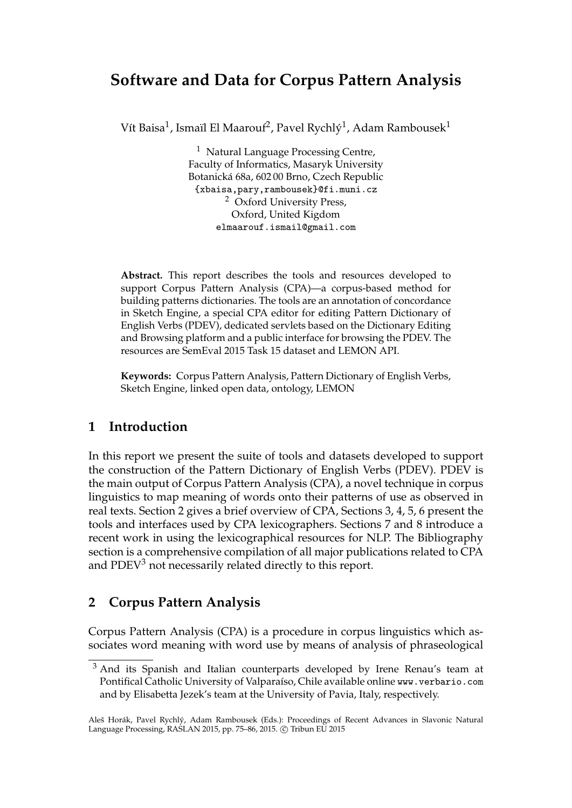# **Software and Data for Corpus Pattern Analysis**

Vít Baisa $^1$ , Ismaïl El Maarouf $^2$ , Pavel Rychlý $^1$ , Adam Rambousek $^1$ 

<sup>1</sup> Natural Language Processing Centre, Faculty of Informatics, Masaryk University Botanická 68a, 602 00 Brno, Czech Republic {xbaisa,pary,rambousek}@fi.muni.cz <sup>2</sup> Oxford University Press, Oxford, United Kigdom elmaarouf.ismail@gmail.com

**Abstract.** This report describes the tools and resources developed to support Corpus Pattern Analysis (CPA)—a corpus-based method for building patterns dictionaries. The tools are an annotation of concordance in Sketch Engine, a special CPA editor for editing Pattern Dictionary of English Verbs (PDEV), dedicated servlets based on the Dictionary Editing and Browsing platform and a public interface for browsing the PDEV. The resources are SemEval 2015 Task 15 dataset and LEMON API.

**Keywords:** Corpus Pattern Analysis, Pattern Dictionary of English Verbs, Sketch Engine, linked open data, ontology, LEMON

# **1 Introduction**

In this report we present the suite of tools and datasets developed to support the construction of the Pattern Dictionary of English Verbs (PDEV). PDEV is the main output of Corpus Pattern Analysis (CPA), a novel technique in corpus linguistics to map meaning of words onto their patterns of use as observed in real texts. Section 2 gives a brief overview of CPA, Sections 3, 4, 5, 6 present the tools and interfaces used by CPA lexicographers. Sections 7 and 8 introduce a recent work in using the lexicographical resources for NLP. The Bibliography section is a comprehensive compilation of all major publications related to CPA and PDEV<sup>3</sup> not necessarily related directly to this report.

# **2 Corpus Pattern Analysis**

Corpus Pattern Analysis (CPA) is a procedure in corpus linguistics which associates word meaning with word use by means of analysis of phraseological

 $3$  And its Spanish and Italian counterparts developed by Irene Renau's team at Pontifical Catholic University of Valparaíso, Chile available online www.verbario.com and by Elisabetta Jezek's team at the University of Pavia, Italy, respectively.

Aleš Horák, Pavel Rychlý, Adam Rambousek (Eds.): Proceedings of Recent Advances in Slavonic Natural Language Processing, RASLAN 2015, pp. 75-86, 2015. © Tribun EU 2015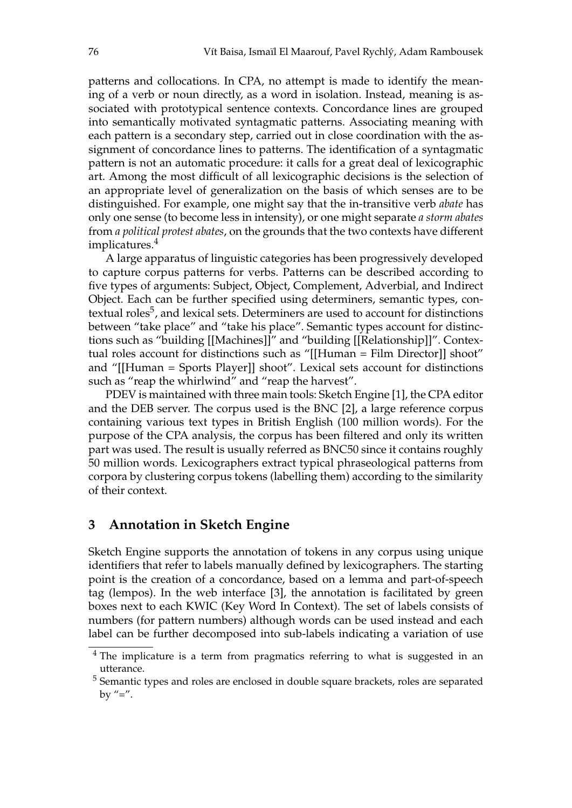patterns and collocations. In CPA, no attempt is made to identify the meaning of a verb or noun directly, as a word in isolation. Instead, meaning is associated with prototypical sentence contexts. Concordance lines are grouped into semantically motivated syntagmatic patterns. Associating meaning with each pattern is a secondary step, carried out in close coordination with the assignment of concordance lines to patterns. The identification of a syntagmatic pattern is not an automatic procedure: it calls for a great deal of lexicographic art. Among the most difficult of all lexicographic decisions is the selection of an appropriate level of generalization on the basis of which senses are to be distinguished. For example, one might say that the in-transitive verb *abate* has only one sense (to become less in intensity), or one might separate *a storm abates* from *a political protest abates*, on the grounds that the two contexts have different implicatures.<sup>4</sup>

A large apparatus of linguistic categories has been progressively developed to capture corpus patterns for verbs. Patterns can be described according to five types of arguments: Subject, Object, Complement, Adverbial, and Indirect Object. Each can be further specified using determiners, semantic types, contextual roles<sup>5</sup>, and lexical sets. Determiners are used to account for distinctions between "take place" and "take his place". Semantic types account for distinctions such as "building [[Machines]]" and "building [[Relationship]]". Contextual roles account for distinctions such as "[[Human = Film Director]] shoot" and "[[Human = Sports Player]] shoot". Lexical sets account for distinctions such as "reap the whirlwind" and "reap the harvest".

PDEV is maintained with three main tools: Sketch Engine [1], the CPA editor and the DEB server. The corpus used is the BNC [2], a large reference corpus containing various text types in British English (100 million words). For the purpose of the CPA analysis, the corpus has been filtered and only its written part was used. The result is usually referred as BNC50 since it contains roughly 50 million words. Lexicographers extract typical phraseological patterns from corpora by clustering corpus tokens (labelling them) according to the similarity of their context.

### **3 Annotation in Sketch Engine**

Sketch Engine supports the annotation of tokens in any corpus using unique identifiers that refer to labels manually defined by lexicographers. The starting point is the creation of a concordance, based on a lemma and part-of-speech tag (lempos). In the web interface [3], the annotation is facilitated by green boxes next to each KWIC (Key Word In Context). The set of labels consists of numbers (for pattern numbers) although words can be used instead and each label can be further decomposed into sub-labels indicating a variation of use

 $4$  The implicature is a term from pragmatics referring to what is suggested in an utterance.

<sup>&</sup>lt;sup>5</sup> Semantic types and roles are enclosed in double square brackets, roles are separated by  $"="$ .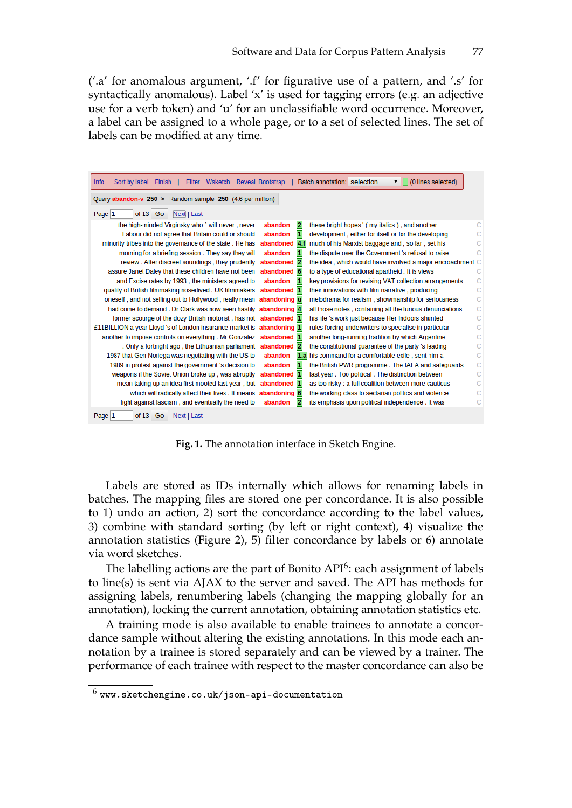('.a' for anomalous argument, '.f' for figurative use of a pattern, and '.s' for syntactically anomalous). Label  $x'$  is used for tagging errors (e.g. an adjective use for a verb token) and 'u' for an unclassifiable word occurrence. Moreover, a label can be assigned to a whole page, or to a set of selected lines. The set of labels can be modified at any time.

| <b>Filter Wsketch Reveal Bootstrap</b><br>Finish  <br><u>Info</u><br>Sort by label |                                    | (0 lines selected)<br>Batch annotation: selection<br>▼     |
|------------------------------------------------------------------------------------|------------------------------------|------------------------------------------------------------|
| Query abandon-v 250 > Random sample 250 (4.6 per million)                          |                                    |                                                            |
| Page $ 1$<br>of 13<br>Go<br>Next   Last                                            |                                    |                                                            |
| the high-minded Virginsky who ' will never, never                                  | $\overline{\mathbf{2}}$<br>abandon | these bright hopes ' ( my italics ), and another           |
| Labour did not agree that Britain could or should                                  | п<br>abandon                       | development, either for itself or for the developing       |
| minority tribes into the governance of the state. He has                           | abandoned 4.f                      | much of his Marxist baggage and, so far, set his           |
| morning for a briefing session. They say they will                                 | 1<br>abandon                       | the dispute over the Government 's refusal to raise        |
| review. After discreet soundings, they prudently                                   | abandoned 2                        | the idea, which would have involved a major encroachment C |
| assure Janet Daley that these children have not been                               | abandoned 6                        | to a type of educational apartheid. It is views            |
| and Excise rates by 1993, the ministers agreed to                                  | 1<br>abandon                       | key provisions for revising VAT collection arrangements    |
| quality of British filmmaking nosedived . UK filmmakers abandoned 1                |                                    | their innovations with film narrative, producing           |
| oneself, and not selling out to Hollywood, really mean abandoning u                |                                    | melodrama for realism, showmanship for seriousness         |
| had come to demand . Dr Clark was now seen hastily abandoning 4                    |                                    | all those notes, containing all the furious denunciations  |
| former scourge of the dozy British motorist, has not abandoned 1                   |                                    | his life 's work just because Her Indoors shunted          |
| £11BILLION a year Lloyd 's of London insurance market is abandoning 1              |                                    | rules forcing underwriters to specialise in particular     |
| another to impose controls on everything. Mr Gonzalez abandoned 1                  |                                    | another long-running tradition by which Argentine          |
| . Only a fortnight ago, the Lithuanian parliament abandoned 2                      |                                    | the constitutional quarantee of the party 's leading       |
| 1987 that Gen Noriega was negotiating with the US to                               | abandon                            | 1.a his command for a comfortable exile, sent him a        |
| 1989 in protest against the government 's decision to                              | abandon<br>1                       | the British PWR programme. The IAEA and safeguards         |
| weapons if the Soviet Union broke up, was abruptly                                 | abandoned 1                        | last year. Too political. The distinction between          |
| mean taking up an idea first mooted last year, but abandoned 1                     |                                    | as too risky : a full coalition between more cautious      |
| which will radically affect their lives . It means abandoning 6                    |                                    | the working class to sectarian politics and violence       |
| fight against fascism, and eventually the need to                                  | 2<br>abandon                       | its emphasis upon political independence. It was           |
| Page 1<br>of $13$<br>Go<br>Next   Last                                             |                                    |                                                            |

**Fig. 1.** The annotation interface in Sketch Engine.

Labels are stored as IDs internally which allows for renaming labels in batches. The mapping files are stored one per concordance. It is also possible to 1) undo an action, 2) sort the concordance according to the label values, 3) combine with standard sorting (by left or right context), 4) visualize the annotation statistics (Figure 2), 5) filter concordance by labels or 6) annotate via word sketches.

The labelling actions are the part of Bonito  $API<sup>6</sup>$ : each assignment of labels to line(s) is sent via AJAX to the server and saved. The API has methods for assigning labels, renumbering labels (changing the mapping globally for an annotation), locking the current annotation, obtaining annotation statistics etc.

A training mode is also available to enable trainees to annotate a concordance sample without altering the existing annotations. In this mode each annotation by a trainee is stored separately and can be viewed by a trainer. The performance of each trainee with respect to the master concordance can also be

 $^6$  www.sketchengine.co.uk/json-api-documentation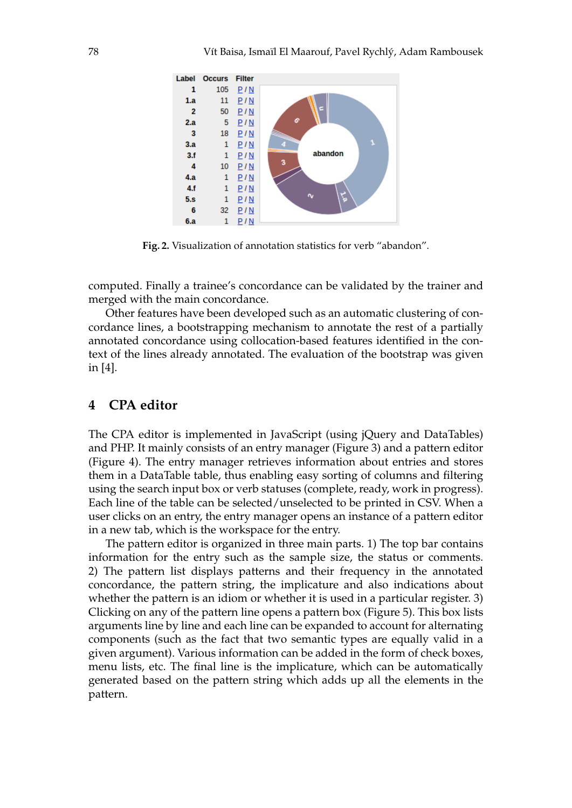

**Fig. 2.** Visualization of annotation statistics for verb "abandon".

computed. Finally a trainee's concordance can be validated by the trainer and merged with the main concordance.

Other features have been developed such as an automatic clustering of concordance lines, a bootstrapping mechanism to annotate the rest of a partially annotated concordance using collocation-based features identified in the context of the lines already annotated. The evaluation of the bootstrap was given in [4].

# **4 CPA editor**

The CPA editor is implemented in JavaScript (using jQuery and DataTables) and PHP. It mainly consists of an entry manager (Figure 3) and a pattern editor (Figure 4). The entry manager retrieves information about entries and stores them in a DataTable table, thus enabling easy sorting of columns and filtering using the search input box or verb statuses (complete, ready, work in progress). Each line of the table can be selected/unselected to be printed in CSV. When a user clicks on an entry, the entry manager opens an instance of a pattern editor in a new tab, which is the workspace for the entry.

The pattern editor is organized in three main parts. 1) The top bar contains information for the entry such as the sample size, the status or comments. 2) The pattern list displays patterns and their frequency in the annotated concordance, the pattern string, the implicature and also indications about whether the pattern is an idiom or whether it is used in a particular register. 3) Clicking on any of the pattern line opens a pattern box (Figure 5). This box lists arguments line by line and each line can be expanded to account for alternating components (such as the fact that two semantic types are equally valid in a given argument). Various information can be added in the form of check boxes, menu lists, etc. The final line is the implicature, which can be automatically generated based on the pattern string which adds up all the elements in the pattern.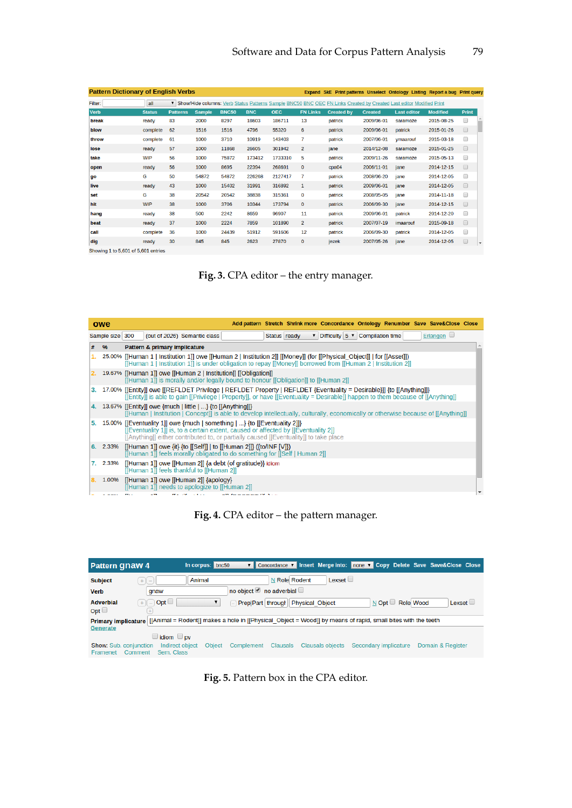| <b>Pattern Dictionary of English Verbs</b>                                                                                                                       |               |                 |               |              |            |            |                 |                   |                | Expand SkE Print patterns Unselect Ontology Listing Report a bug Print query |                 |              |                          |
|------------------------------------------------------------------------------------------------------------------------------------------------------------------|---------------|-----------------|---------------|--------------|------------|------------|-----------------|-------------------|----------------|------------------------------------------------------------------------------|-----------------|--------------|--------------------------|
| Filter:<br>all<br>$\overline{\mathbf{v}}$<br>Show/Hide columns: Verb Status Patterns Sample BNC50 BNC OEC FN Links Created by Created Last editor Modified Print |               |                 |               |              |            |            |                 |                   |                |                                                                              |                 |              |                          |
| <b>Verb</b>                                                                                                                                                      | <b>Status</b> | <b>Patterns</b> | <b>Sample</b> | <b>BNC50</b> | <b>BNC</b> | <b>OEC</b> | <b>FN Links</b> | <b>Created by</b> | <b>Created</b> | <b>Last editor</b>                                                           | <b>Modified</b> | <b>Print</b> |                          |
| break                                                                                                                                                            | ready         | 83              | 2000          | 8297         | 18603      | 186711     | 13              | patrick           | 2009/06-01     | saramoze                                                                     | 2015-08-25      | 0            |                          |
| blow                                                                                                                                                             | complete      | 62              | 1516          | 1516         | 4796       | 55320      | 6               | patrick           | 2009/06-01     | patrick                                                                      | 2015-01-26      | $\Box$       |                          |
| throw                                                                                                                                                            | complete      | 61              | 1000          | 3710         | 10919      | 143403     | 7               | patrick           | 2007/06-01     | vmaarouf                                                                     | 2015-03-18      | $\Box$       |                          |
| lose                                                                                                                                                             | ready         | 57              | 1000          | 11868        | 26605      | 301942     | $\overline{2}$  | jane              | 2014/12-08     | saramoze                                                                     | 2015-01-25      | $\Box$       |                          |
| take                                                                                                                                                             | <b>WIP</b>    | 56              | 1000          | 75872        | 173412     | 1733310    | 5               | patrick           | 2009/11-26     | saramoze                                                                     | 2015-05-13      | $\Box$       |                          |
| open                                                                                                                                                             | ready         | 56              | 1000          | 8695         | 22394      | 268691     | $\mathbf{0}$    | cpa04             | 2006/11-01     | jane                                                                         | 2014-12-15      | $\Box$       |                          |
| qo                                                                                                                                                               | G             | 50              | 54872         | 54872        | 226268     | 2127417    | 7               | patrick           | 2008/06-20     | jane                                                                         | 2014-12-05      | $\Box$       |                          |
| live                                                                                                                                                             | ready         | 43              | 1000          | 15402        | 31991      | 316892     | $\mathbf{1}$    | patrick           | 2009/06-01     | jane                                                                         | 2014-12-05      | $\Box$       |                          |
| set                                                                                                                                                              | G             | 38              | 20542         | 20542        | 38838      | 315361     | $\mathbf{0}$    | patrick           | 2008/05-05     | jane                                                                         | 2014-11-18      | 0            |                          |
| hit                                                                                                                                                              | <b>WIP</b>    | 38              | 1000          | 3706         | 10344      | 173794     | $\mathbf{0}$    | patrick           | 2006/09-30     | jane                                                                         | 2014-12-15      | $\Box$       |                          |
| hang                                                                                                                                                             | ready         | 38              | 500           | 2242         | 8659       | 96907      | 11              | patrick           | 2009/06-01     | patrick                                                                      | 2014-12-20      | ∩            |                          |
| beat                                                                                                                                                             | ready         | 37              | 1000          | 2224         | 7859       | 101890     | $\overline{2}$  | patrick           | 2007/07-19     | imaarouf                                                                     | 2015-09-18      | $\Box$       |                          |
| call                                                                                                                                                             | complete      | 36              | 1000          | 24439        | 51912      | 591606     | 12              | patrick           | 2006/09-30     | patrick                                                                      | 2014-12-05      | $\Box$       |                          |
| dig                                                                                                                                                              | ready         | 30              | 845           | 845          | 2623       | 27870      | $\mathbf{0}$    | iezek             | 2007/05-26     | jane                                                                         | 2014-12-05      | $\Box$       | $\overline{\phantom{a}}$ |
| Showing 1 to 5,601 of 5,601 entries                                                                                                                              |               |                 |               |              |            |            |                 |                   |                |                                                                              |                 |              |                          |

**Fig. 3.** CPA editor – the entry manager.

|    | owe             | Add pattern Stretch Shrink more Concordance Ontology Renumber Save Save&Close Close                                                                                                                                                                        |
|----|-----------------|------------------------------------------------------------------------------------------------------------------------------------------------------------------------------------------------------------------------------------------------------------|
|    | Sample size 300 | Erlangen $\Box$<br>$\triangledown$ Difficulty $5 \triangledown$ Compilation time<br>(out of 2026) Semantic class<br>Status ready                                                                                                                           |
| #  | 96              | <b>Pattern &amp; primary implicature</b>                                                                                                                                                                                                                   |
|    |                 | 25.00% [[Human 1   Institution 1]] owe [[Human 2   Institution 2]] [[Money]] (for [[Physical Object]]   for [[Asset]])<br>[[Human 1   Institution 1]] is under obligation to repay [[Money]] borrowed from [[Human 2   Institution 2]]                     |
|    |                 | 2. 19.67% [[Human 1]] owe [[Human 2   Institution]] [[Obligation]]<br>[[Human 1]] is morally and/or legally bound to honour [[Obligation]] to [[Human 2]]                                                                                                  |
|    |                 | 3. 17.00% [[Entity]] owe [[REFLDET Privilege   REFLDET Property   REFLDET {Eventuality = Desirable}]] {to [[Anything]]}<br>[[Entity]] is able to gain [[Privilege   Property]], or have [[Eventuality = Desirable]] happen to them because of [[Anything]] |
|    |                 | 4. 13.67% [[Entity]] owe {much   little   } {to [[Anything]]}<br>[[Human   Institution   Concept]] is able to develop intellectually, culturally, economically or otherwise because of [[Anything]]                                                        |
| 5. |                 | 15.00% [[Eventuality 1]] owe {much   something   } {to [[Eventuality 2]]}<br>[[Eventuality 1]] is, to a certain extent, caused or affected by [[Eventuality 2]]<br>[[Anything]] either contributed to, or partially caused [[Eventuality]] to take place   |
|    | 6. 2.33%        | [[Human 1]] owe {it} {to [[Self]]   to [[Human 2]]} ({to/INF $[V]$ })<br>[[Human 1]] feels morally obligated to do something for [[Self   Human 2]]                                                                                                        |
|    | 7. 2.33%        | [[Human 1]] owe [[Human 2]] {a debt (of gratitude)} idiom<br>[[Human 1]] feels thankful to [[Human 2]]                                                                                                                                                     |
| 8. | 1.00%           | [[Human 1]] owe [[Human 2]] {apology}<br>[[Human 1]] needs to apologize to [[Human 2]]                                                                                                                                                                     |
|    | $\sim$          | <b>PEACHTREE STATES</b><br>$\alpha$ ll fo o o o c c if i $\alpha$                                                                                                                                                                                          |

**Fig. 4.** CPA editor – the pattern manager.

| <b>Pattern Gnaw 4</b>                                |                                                                                                                                  | In corpus: bnc50 |                          |                                   |                         |                       |                   | Concordance v Insert Merge into: none v Copy Delete Save Save&Close Close |  |
|------------------------------------------------------|----------------------------------------------------------------------------------------------------------------------------------|------------------|--------------------------|-----------------------------------|-------------------------|-----------------------|-------------------|---------------------------------------------------------------------------|--|
| <b>Subject</b>                                       | $+1-$                                                                                                                            | Animal           |                          | N Role Rodent                     | Lexset                  |                       |                   |                                                                           |  |
| <b>Verb</b>                                          | qnaw                                                                                                                             |                  | no object no adverbial □ |                                   |                         |                       |                   |                                                                           |  |
| <b>Adverbial</b>                                     | $+$ $(-)$ Opt $\Box$                                                                                                             |                  |                          | Prep Part through Physical Object |                         |                       | N Opt □ Role Wood | $L$ exset                                                                 |  |
| Opt $\Box$                                           | ÷                                                                                                                                |                  |                          |                                   |                         |                       |                   |                                                                           |  |
|                                                      | Primary implicature [[Animal = Rodent]] makes a hole in [[Physical_Object = Wood]] by means of rapid, small bites with the teeth |                  |                          |                                   |                         |                       |                   |                                                                           |  |
| <b>Generate</b>                                      |                                                                                                                                  |                  |                          |                                   |                         |                       |                   |                                                                           |  |
|                                                      | $\Box$ idiom $\Box$ pv                                                                                                           |                  |                          |                                   |                         |                       |                   |                                                                           |  |
| <b>Show: Sub. conjunction</b><br>Comment<br>Framenet | Indirect object<br>Sem. Class                                                                                                    | Object           | Complement               | <b>Clausals</b>                   | <b>Clausals objects</b> | Secondary implicature |                   | Domain & Register                                                         |  |

**Fig. 5.** Pattern box in the CPA editor.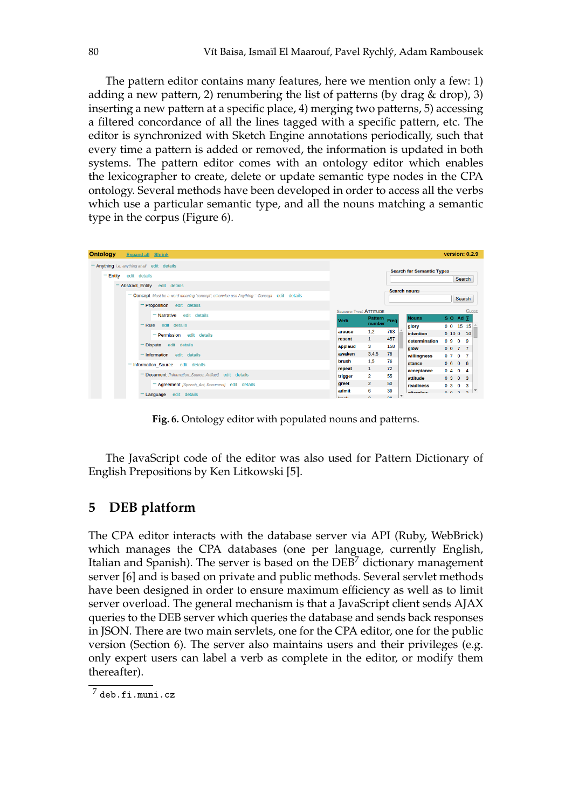The pattern editor contains many features, here we mention only a few: 1) adding a new pattern, 2) renumbering the list of patterns (by drag & drop), 3) inserting a new pattern at a specific place, 4) merging two patterns, 5) accessing a filtered concordance of all the lines tagged with a specific pattern, etc. The editor is synchronized with Sketch Engine annotations periodically, such that every time a pattern is added or removed, the information is updated in both systems. The pattern editor comes with an ontology editor which enables the lexicographer to create, delete or update semantic type nodes in the CPA ontology. Several methods have been developed in order to access all the verbs which use a particular semantic type, and all the nouns matching a semantic type in the corpus (Figure 6).

|                                                                                           |                     |              |                                  |                |                    |                | <b>version: 0.2.9</b> |  |  |
|-------------------------------------------------------------------------------------------|---------------------|--------------|----------------------------------|----------------|--------------------|----------------|-----------------------|--|--|
| - Anything <i>i.e. anything at all</i> edit details                                       |                     |              |                                  |                |                    |                |                       |  |  |
| $=$ Entity<br>edit details                                                                |                     |              | <b>Search for Semantic Types</b> |                |                    |                |                       |  |  |
|                                                                                           |                     |              |                                  |                |                    | <b>Search</b>  |                       |  |  |
| Abstract Entity edit details                                                              | <b>Search nouns</b> |              |                                  |                |                    |                |                       |  |  |
| - Concept Must be a word meaning 'concept'; otherwise use Anything = Concept edit details |                     |              |                                  |                |                    | <b>Search</b>  |                       |  |  |
| <b>Proposition</b> edit details                                                           |                     |              |                                  |                |                    |                |                       |  |  |
| <b>SEMANTIC TYPE: ATTITUDE</b><br>$-$ Narrative edit details                              |                     |              |                                  |                |                    |                | <b>CLOSE</b>          |  |  |
| <b>Verb</b>                                                                               | Pattern Freq        |              | <b>Nouns</b>                     |                | SO Ad <sub>Σ</sub> |                |                       |  |  |
| number<br>edit details<br>Rule                                                            |                     |              | glory                            |                | 0 0 15 15          |                |                       |  |  |
| 1,2<br>arouse<br>- Permission<br>edit details                                             | 763                 |              | <b>intention</b>                 |                | 0 10 0 10          |                |                       |  |  |
| $\mathbf{1}$<br>resent                                                                    | 457                 |              | determination                    | 0 <sub>9</sub> |                    | 0 <sub>9</sub> |                       |  |  |
| edit details<br><b>Dispute</b><br>3<br>applaud                                            | 158                 |              | qlow                             |                | 0077               |                |                       |  |  |
| 3,4,5<br>awaken<br>Information edit details                                               | 78                  |              | willingness                      | 0 <sub>7</sub> |                    | 0 <sub>7</sub> |                       |  |  |
| 1,5<br>brush<br>- Information Source<br>edit details                                      | 76                  |              | stance                           |                | 0606               |                |                       |  |  |
| $\mathbf{1}$<br>repeat                                                                    | 72                  |              | acceptance                       |                | 0404               |                |                       |  |  |
| Document [Information_Source, Artifact] edit details<br>$\overline{2}$<br>trigger         | 55                  |              | attitude                         |                | 0303               |                |                       |  |  |
| $\overline{2}$<br>greet<br>- Agreement [Speech_Act, Document] edit details                | 50                  |              | readiness                        | 0 <sup>3</sup> |                    | 0 <sup>3</sup> |                       |  |  |
| 6<br>admit<br>Language edit details<br>. .<br>$\sim$                                      | 39<br>$\sim$        | $\checkmark$ | a fé a vertaire                  | $\sim$ $\sim$  | $\overline{ }$     | $\sim$         |                       |  |  |

**Fig. 6.** Ontology editor with populated nouns and patterns.

The JavaScript code of the editor was also used for Pattern Dictionary of English Prepositions by Ken Litkowski [5].

# **5 DEB platform**

The CPA editor interacts with the database server via API (Ruby, WebBrick) which manages the CPA databases (one per language, currently English, Italian and Spanish). The server is based on the  $\rm{DEB}^{\prime}$  dictionary management server [6] and is based on private and public methods. Several servlet methods have been designed in order to ensure maximum efficiency as well as to limit server overload. The general mechanism is that a JavaScript client sends AJAX queries to the DEB server which queries the database and sends back responses in JSON. There are two main servlets, one for the CPA editor, one for the public version (Section 6). The server also maintains users and their privileges (e.g. only expert users can label a verb as complete in the editor, or modify them thereafter).

 $^7$  deb.fi.muni.cz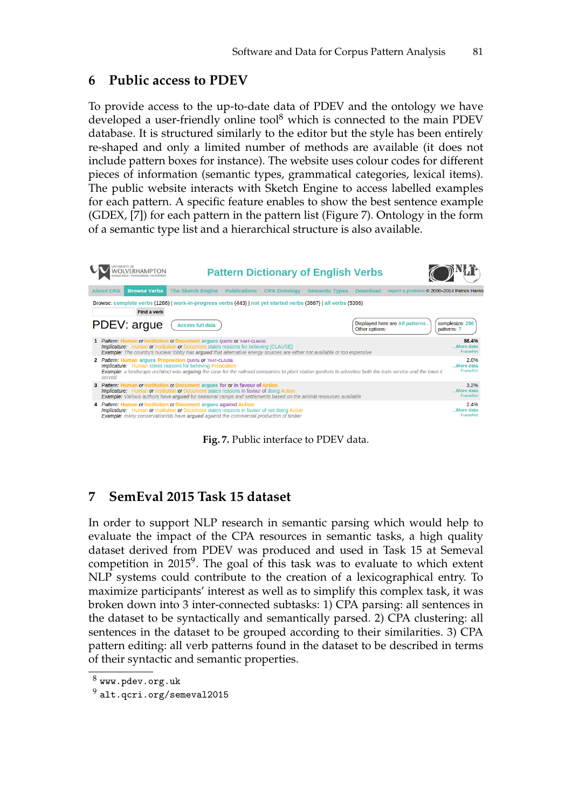# **6 Public access to PDEV**

To provide access to the up-to-date data of PDEV and the ontology we have developed a user-friendly online tool $<sup>8</sup>$  which is connected to the main PDEV</sup> database. It is structured similarly to the editor but the style has been entirely re-shaped and only a limited number of methods are available (it does not include pattern boxes for instance). The website uses colour codes for different pieces of information (semantic types, grammatical categories, lexical items). The public website interacts with Sketch Engine to access labelled examples for each pattern. A specific feature enables to show the best sentence example (GDEX, [7]) for each pattern in the pattern list (Figure 7). Ontology in the form of a semantic type list and a hierarchical structure is also available.

| 'OLVERHAMPTON                                                                                                                                                                                                                                                                                                           |                          |                     |                     | <b>Pattern Dictionary of English Verbs</b> |                |                                                     |                                |                                |
|-------------------------------------------------------------------------------------------------------------------------------------------------------------------------------------------------------------------------------------------------------------------------------------------------------------------------|--------------------------|---------------------|---------------------|--------------------------------------------|----------------|-----------------------------------------------------|--------------------------------|--------------------------------|
| <b>Browse Verbs</b><br><b>About CPA</b>                                                                                                                                                                                                                                                                                 | <b>The Sketch Engine</b> | <b>Publications</b> | <b>CPA Ontology</b> | <b>Semantic Types</b>                      |                | Download report a problem © 2000-2014 Patrick Hanks |                                |                                |
| Browse: complete verbs (1286)   work-in-progress verbs (443)   not yet started verbs (3667)   all verbs (5396)<br><b>Find a verb</b>                                                                                                                                                                                    |                          |                     |                     |                                            |                |                                                     |                                |                                |
| PDEV: argue                                                                                                                                                                                                                                                                                                             | <b>Access full data</b>  |                     |                     |                                            | Other options: | Displayed here are All patterns.                    | samplesize: 250<br>patterns: 7 |                                |
| 1 Pattern: Human or Institution or Document argues QUOTE OF THAT-CLAUSE<br><b>Implicature:</b> Human or Institution or Document states reasons for believing [CLAUSE]<br><b>Example:</b> The country's nuclear lobby has arqued that alternative energy sources are either not available or too expensive               |                          |                     |                     |                                            |                |                                                     |                                | 88.4%<br>More data<br>FrameNet |
| 2 Pattern: Human argues Proposition QUOTE OF THAT-CLAUSE<br><b>Implicature:</b> Human states reasons for believing <b>Proposition</b><br><b>Example</b> : a landscape architect was arguing the case for the railroad companies to plant station gardens to advertise both the train service and the town it<br>served. |                          |                     |                     |                                            |                |                                                     |                                | 2.0%<br>More data<br>FrameNet  |
| 3 Pattern: Human or Institution or Document argues for or in favour of Action<br><b>Implicature:</b> Human or Institution or Document states reasons in favour of doing Action<br><b>Example:</b> Various authors have argued for seasonal camps and settlements based on the animal resources available                |                          |                     |                     |                                            |                |                                                     |                                | 3.2%<br>More data<br>FrameNet  |
| 4 Pattern: Human or Institution or Document argues against Action<br><b>Implicature:</b> Human or Institution or Document states reasons in favour of not doing Action<br><b>Example:</b> many conservationists have arqued against the commercial production of timber                                                 |                          |                     |                     |                                            |                |                                                     |                                | 2.4%<br>More data<br>FrameNet  |

**Fig. 7.** Public interface to PDEV data.

# **7 SemEval 2015 Task 15 dataset**

In order to support NLP research in semantic parsing which would help to evaluate the impact of the CPA resources in semantic tasks, a high quality dataset derived from PDEV was produced and used in Task 15 at Semeval competition in 2015<sup>9</sup>. The goal of this task was to evaluate to which extent NLP systems could contribute to the creation of a lexicographical entry. To maximize participants' interest as well as to simplify this complex task, it was broken down into 3 inter-connected subtasks: 1) CPA parsing: all sentences in the dataset to be syntactically and semantically parsed. 2) CPA clustering: all sentences in the dataset to be grouped according to their similarities. 3) CPA pattern editing: all verb patterns found in the dataset to be described in terms of their syntactic and semantic properties.

 $^8$  www.pdev.org.uk

 $^9$  alt.qcri.org/semeval2015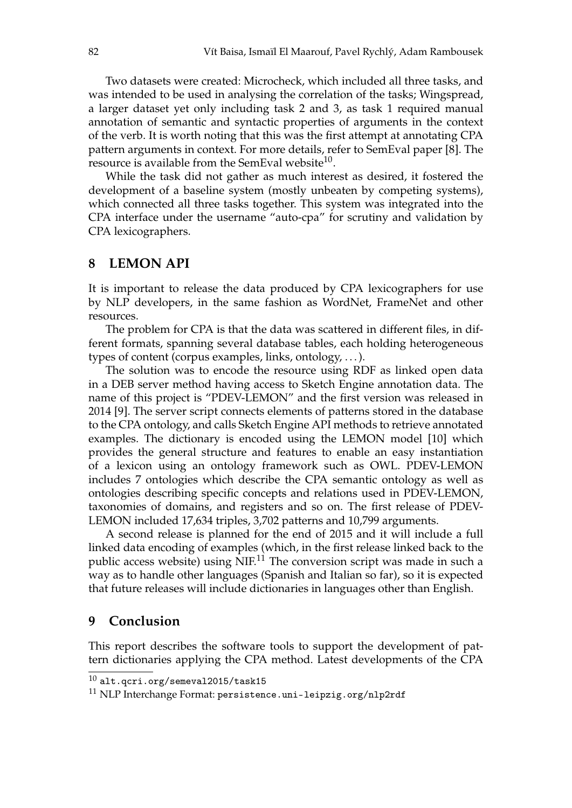Two datasets were created: Microcheck, which included all three tasks, and was intended to be used in analysing the correlation of the tasks; Wingspread, a larger dataset yet only including task 2 and 3, as task 1 required manual annotation of semantic and syntactic properties of arguments in the context of the verb. It is worth noting that this was the first attempt at annotating CPA pattern arguments in context. For more details, refer to SemEval paper [8]. The resource is available from the SemEval website<sup>10</sup>.

While the task did not gather as much interest as desired, it fostered the development of a baseline system (mostly unbeaten by competing systems), which connected all three tasks together. This system was integrated into the CPA interface under the username "auto-cpa" for scrutiny and validation by CPA lexicographers.

### **8 LEMON API**

It is important to release the data produced by CPA lexicographers for use by NLP developers, in the same fashion as WordNet, FrameNet and other resources.

The problem for CPA is that the data was scattered in different files, in different formats, spanning several database tables, each holding heterogeneous types of content (corpus examples, links, ontology, . . . ).

The solution was to encode the resource using RDF as linked open data in a DEB server method having access to Sketch Engine annotation data. The name of this project is "PDEV-LEMON" and the first version was released in 2014 [9]. The server script connects elements of patterns stored in the database to the CPA ontology, and calls Sketch Engine API methods to retrieve annotated examples. The dictionary is encoded using the LEMON model [10] which provides the general structure and features to enable an easy instantiation of a lexicon using an ontology framework such as OWL. PDEV-LEMON includes 7 ontologies which describe the CPA semantic ontology as well as ontologies describing specific concepts and relations used in PDEV-LEMON, taxonomies of domains, and registers and so on. The first release of PDEV-LEMON included 17,634 triples, 3,702 patterns and 10,799 arguments.

A second release is planned for the end of 2015 and it will include a full linked data encoding of examples (which, in the first release linked back to the public access website) using  $NIF<sup>11</sup>$  The conversion script was made in such a way as to handle other languages (Spanish and Italian so far), so it is expected that future releases will include dictionaries in languages other than English.

### **9 Conclusion**

This report describes the software tools to support the development of pattern dictionaries applying the CPA method. Latest developments of the CPA

 $^{10}$ alt.qcri.org/semeval2015/task15

<sup>11</sup> NLP Interchange Format: persistence.uni-leipzig.org/nlp2rdf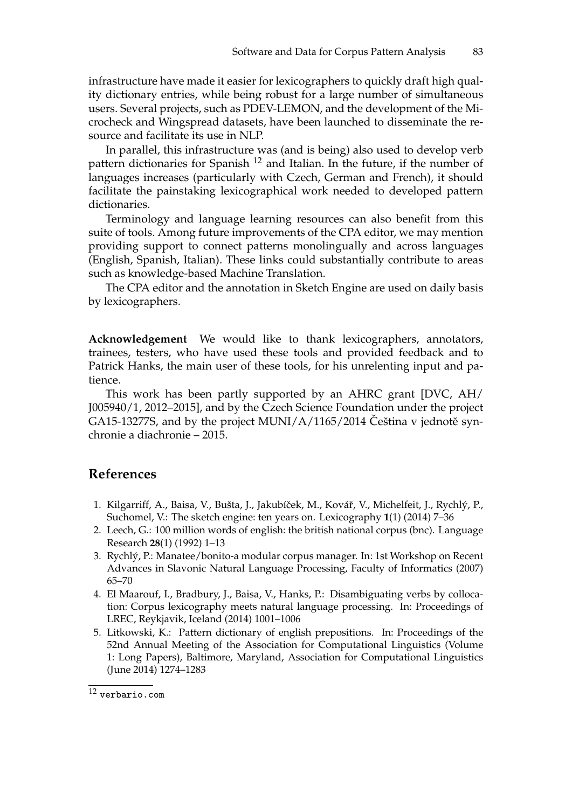infrastructure have made it easier for lexicographers to quickly draft high quality dictionary entries, while being robust for a large number of simultaneous users. Several projects, such as PDEV-LEMON, and the development of the Microcheck and Wingspread datasets, have been launched to disseminate the resource and facilitate its use in NLP.

In parallel, this infrastructure was (and is being) also used to develop verb pattern dictionaries for Spanish <sup>12</sup> and Italian. In the future, if the number of languages increases (particularly with Czech, German and French), it should facilitate the painstaking lexicographical work needed to developed pattern dictionaries.

Terminology and language learning resources can also benefit from this suite of tools. Among future improvements of the CPA editor, we may mention providing support to connect patterns monolingually and across languages (English, Spanish, Italian). These links could substantially contribute to areas such as knowledge-based Machine Translation.

The CPA editor and the annotation in Sketch Engine are used on daily basis by lexicographers.

**Acknowledgement** We would like to thank lexicographers, annotators, trainees, testers, who have used these tools and provided feedback and to Patrick Hanks, the main user of these tools, for his unrelenting input and patience.

This work has been partly supported by an AHRC grant [DVC, AH/ J005940/1, 2012–2015], and by the Czech Science Foundation under the project GA15-13277S, and by the project MUNI/A/1165/2014 Ceština v jednotě synchronie a diachronie – 2015.

### **References**

- 1. Kilgarriff, A., Baisa, V., Bušta, J., Jakubíček, M., Kovář, V., Michelfeit, J., Rychlý, P., Suchomel, V.: The sketch engine: ten years on. Lexicography **1**(1) (2014) 7–36
- 2. Leech, G.: 100 million words of english: the british national corpus (bnc). Language Research **28**(1) (1992) 1–13
- 3. Rychlý, P.: Manatee/bonito-a modular corpus manager. In: 1st Workshop on Recent Advances in Slavonic Natural Language Processing, Faculty of Informatics (2007) 65–70
- 4. El Maarouf, I., Bradbury, J., Baisa, V., Hanks, P.: Disambiguating verbs by collocation: Corpus lexicography meets natural language processing. In: Proceedings of LREC, Reykjavik, Iceland (2014) 1001–1006
- 5. Litkowski, K.: Pattern dictionary of english prepositions. In: Proceedings of the 52nd Annual Meeting of the Association for Computational Linguistics (Volume 1: Long Papers), Baltimore, Maryland, Association for Computational Linguistics (June 2014) 1274–1283

 $\overline{12 \text{ verbario.com}}$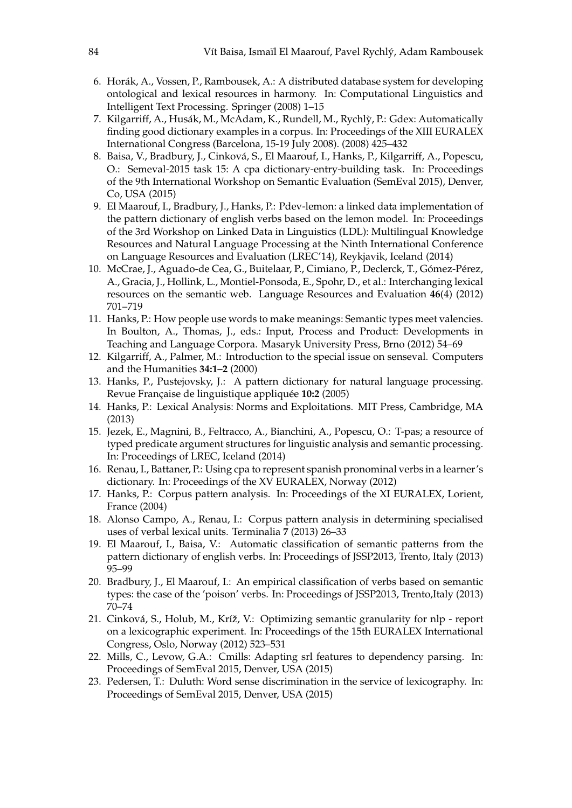- 6. Horák, A., Vossen, P., Rambousek, A.: A distributed database system for developing ontological and lexical resources in harmony. In: Computational Linguistics and Intelligent Text Processing. Springer (2008) 1–15
- 7. Kilgarriff, A., Husák, M., McAdam, K., Rundell, M., Rychly, P.: Gdex: Automatically ` finding good dictionary examples in a corpus. In: Proceedings of the XIII EURALEX International Congress (Barcelona, 15-19 July 2008). (2008) 425–432
- 8. Baisa, V., Bradbury, J., Cinková, S., El Maarouf, I., Hanks, P., Kilgarriff, A., Popescu, O.: Semeval-2015 task 15: A cpa dictionary-entry-building task. In: Proceedings of the 9th International Workshop on Semantic Evaluation (SemEval 2015), Denver, Co, USA (2015)
- 9. El Maarouf, I., Bradbury, J., Hanks, P.: Pdev-lemon: a linked data implementation of the pattern dictionary of english verbs based on the lemon model. In: Proceedings of the 3rd Workshop on Linked Data in Linguistics (LDL): Multilingual Knowledge Resources and Natural Language Processing at the Ninth International Conference on Language Resources and Evaluation (LREC'14), Reykjavik, Iceland (2014)
- 10. McCrae, J., Aguado-de Cea, G., Buitelaar, P., Cimiano, P., Declerck, T., Gómez-Pérez, A., Gracia, J., Hollink, L., Montiel-Ponsoda, E., Spohr, D., et al.: Interchanging lexical resources on the semantic web. Language Resources and Evaluation **46**(4) (2012) 701–719
- 11. Hanks, P.: How people use words to make meanings: Semantic types meet valencies. In Boulton, A., Thomas, J., eds.: Input, Process and Product: Developments in Teaching and Language Corpora. Masaryk University Press, Brno (2012) 54–69
- 12. Kilgarriff, A., Palmer, M.: Introduction to the special issue on senseval. Computers and the Humanities **34:1–2** (2000)
- 13. Hanks, P., Pustejovsky, J.: A pattern dictionary for natural language processing. Revue Française de linguistique appliquée **10:2** (2005)
- 14. Hanks, P.: Lexical Analysis: Norms and Exploitations. MIT Press, Cambridge, MA (2013)
- 15. Jezek, E., Magnini, B., Feltracco, A., Bianchini, A., Popescu, O.: T-pas; a resource of typed predicate argument structures for linguistic analysis and semantic processing. In: Proceedings of LREC, Iceland (2014)
- 16. Renau, I., Battaner, P.: Using cpa to represent spanish pronominal verbs in a learner's dictionary. In: Proceedings of the XV EURALEX, Norway (2012)
- 17. Hanks, P.: Corpus pattern analysis. In: Proceedings of the XI EURALEX, Lorient, France (2004)
- 18. Alonso Campo, A., Renau, I.: Corpus pattern analysis in determining specialised uses of verbal lexical units. Terminalia **7** (2013) 26–33
- 19. El Maarouf, I., Baisa, V.: Automatic classification of semantic patterns from the pattern dictionary of english verbs. In: Proceedings of JSSP2013, Trento, Italy (2013) 95–99
- 20. Bradbury, J., El Maarouf, I.: An empirical classification of verbs based on semantic types: the case of the 'poison' verbs. In: Proceedings of JSSP2013, Trento,Italy (2013) 70–74
- 21. Cinková, S., Holub, M., Kríž, V.: Optimizing semantic granularity for nlp report on a lexicographic experiment. In: Proceedings of the 15th EURALEX International Congress, Oslo, Norway (2012) 523–531
- 22. Mills, C., Levow, G.A.: Cmills: Adapting srl features to dependency parsing. In: Proceedings of SemEval 2015, Denver, USA (2015)
- 23. Pedersen, T.: Duluth: Word sense discrimination in the service of lexicography. In: Proceedings of SemEval 2015, Denver, USA (2015)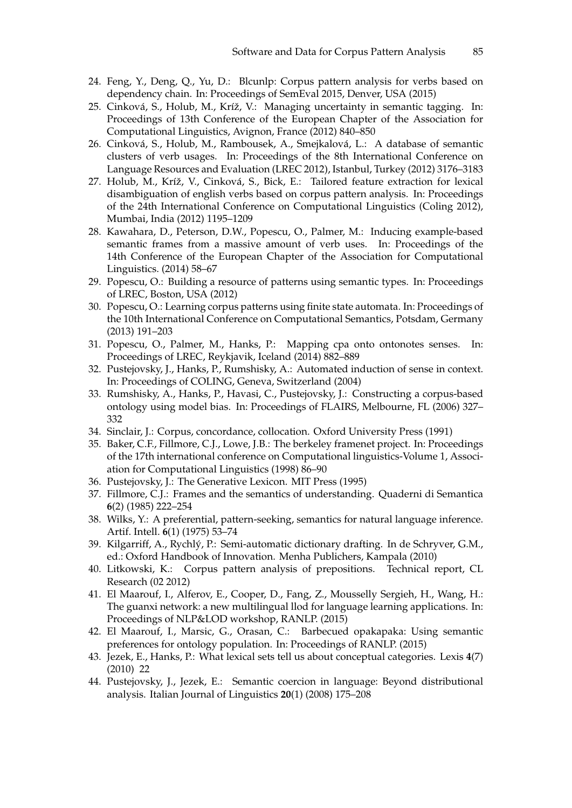- 24. Feng, Y., Deng, Q., Yu, D.: Blcunlp: Corpus pattern analysis for verbs based on dependency chain. In: Proceedings of SemEval 2015, Denver, USA (2015)
- 25. Cinková, S., Holub, M., Kríž, V.: Managing uncertainty in semantic tagging. In: Proceedings of 13th Conference of the European Chapter of the Association for Computational Linguistics, Avignon, France (2012) 840–850
- 26. Cinková, S., Holub, M., Rambousek, A., Smejkalová, L.: A database of semantic clusters of verb usages. In: Proceedings of the 8th International Conference on Language Resources and Evaluation (LREC 2012), Istanbul, Turkey (2012) 3176–3183
- 27. Holub, M., Kríž, V., Cinková, S., Bick, E.: Tailored feature extraction for lexical disambiguation of english verbs based on corpus pattern analysis. In: Proceedings of the 24th International Conference on Computational Linguistics (Coling 2012), Mumbai, India (2012) 1195–1209
- 28. Kawahara, D., Peterson, D.W., Popescu, O., Palmer, M.: Inducing example-based semantic frames from a massive amount of verb uses. In: Proceedings of the 14th Conference of the European Chapter of the Association for Computational Linguistics. (2014) 58–67
- 29. Popescu, O.: Building a resource of patterns using semantic types. In: Proceedings of LREC, Boston, USA (2012)
- 30. Popescu, O.: Learning corpus patterns using finite state automata. In: Proceedings of the 10th International Conference on Computational Semantics, Potsdam, Germany (2013) 191–203
- 31. Popescu, O., Palmer, M., Hanks, P.: Mapping cpa onto ontonotes senses. In: Proceedings of LREC, Reykjavik, Iceland (2014) 882–889
- 32. Pustejovsky, J., Hanks, P., Rumshisky, A.: Automated induction of sense in context. In: Proceedings of COLING, Geneva, Switzerland (2004)
- 33. Rumshisky, A., Hanks, P., Havasi, C., Pustejovsky, J.: Constructing a corpus-based ontology using model bias. In: Proceedings of FLAIRS, Melbourne, FL (2006) 327– 332
- 34. Sinclair, J.: Corpus, concordance, collocation. Oxford University Press (1991)
- 35. Baker, C.F., Fillmore, C.J., Lowe, J.B.: The berkeley framenet project. In: Proceedings of the 17th international conference on Computational linguistics-Volume 1, Association for Computational Linguistics (1998) 86–90
- 36. Pustejovsky, J.: The Generative Lexicon. MIT Press (1995)
- 37. Fillmore, C.J.: Frames and the semantics of understanding. Quaderni di Semantica **6**(2) (1985) 222–254
- 38. Wilks, Y.: A preferential, pattern-seeking, semantics for natural language inference. Artif. Intell. **6**(1) (1975) 53–74
- 39. Kilgarriff, A., Rychlý, P.: Semi-automatic dictionary drafting. In de Schryver, G.M., ed.: Oxford Handbook of Innovation. Menha Publichers, Kampala (2010)
- 40. Litkowski, K.: Corpus pattern analysis of prepositions. Technical report, CL Research (02 2012)
- 41. El Maarouf, I., Alferov, E., Cooper, D., Fang, Z., Mousselly Sergieh, H., Wang, H.: The guanxi network: a new multilingual llod for language learning applications. In: Proceedings of NLP&LOD workshop, RANLP. (2015)
- 42. El Maarouf, I., Marsic, G., Orasan, C.: Barbecued opakapaka: Using semantic preferences for ontology population. In: Proceedings of RANLP. (2015)
- 43. Jezek, E., Hanks, P.: What lexical sets tell us about conceptual categories. Lexis **4**(7) (2010) 22
- 44. Pustejovsky, J., Jezek, E.: Semantic coercion in language: Beyond distributional analysis. Italian Journal of Linguistics **20**(1) (2008) 175–208